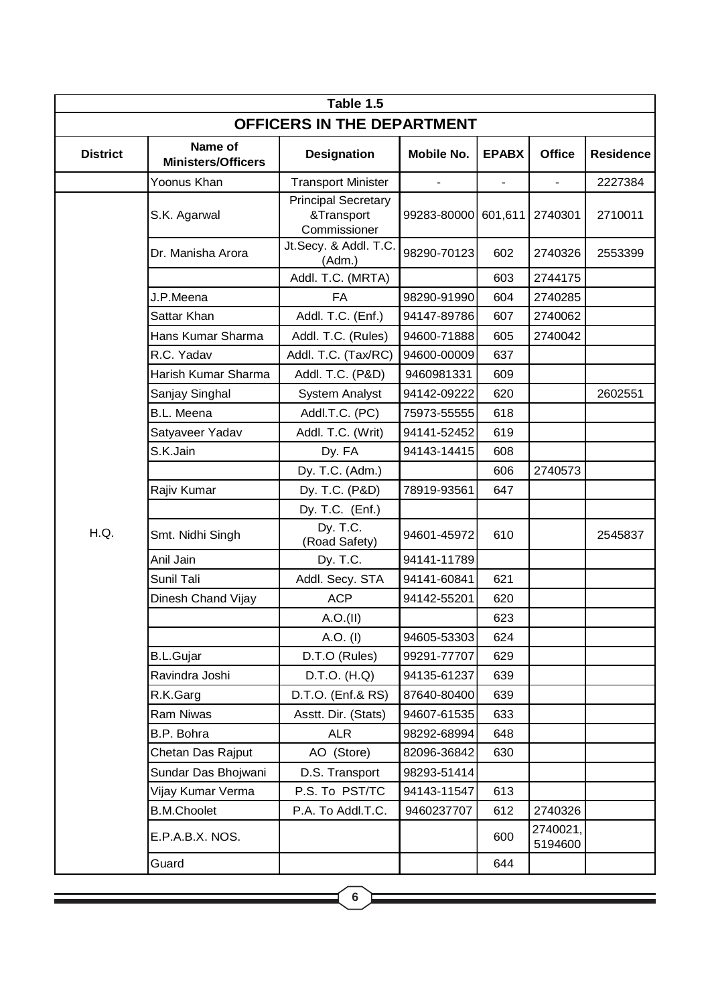|                            | Table 1.5                            |                                                          |             |              |                     |                  |  |
|----------------------------|--------------------------------------|----------------------------------------------------------|-------------|--------------|---------------------|------------------|--|
| OFFICERS IN THE DEPARTMENT |                                      |                                                          |             |              |                     |                  |  |
| <b>District</b>            | Name of<br><b>Ministers/Officers</b> | <b>Designation</b>                                       | Mobile No.  | <b>EPABX</b> | <b>Office</b>       | <b>Residence</b> |  |
|                            | Yoonus Khan                          | <b>Transport Minister</b>                                |             |              |                     | 2227384          |  |
|                            | S.K. Agarwal                         | <b>Principal Secretary</b><br>&Transport<br>Commissioner | 99283-80000 | 601,611      | 2740301             | 2710011          |  |
|                            | Dr. Manisha Arora                    | Jt.Secy. & Addl. T.C.<br>(Adm.)                          | 98290-70123 | 602          | 2740326             | 2553399          |  |
|                            |                                      | Addl. T.C. (MRTA)                                        |             | 603          | 2744175             |                  |  |
|                            | J.P.Meena                            | <b>FA</b>                                                | 98290-91990 | 604          | 2740285             |                  |  |
|                            | Sattar Khan                          | Addl. T.C. (Enf.)                                        | 94147-89786 | 607          | 2740062             |                  |  |
|                            | Hans Kumar Sharma                    | Addl. T.C. (Rules)                                       | 94600-71888 | 605          | 2740042             |                  |  |
|                            | R.C. Yadav                           | Addl. T.C. (Tax/RC)                                      | 94600-00009 | 637          |                     |                  |  |
|                            | Harish Kumar Sharma                  | Addl. T.C. (P&D)                                         | 9460981331  | 609          |                     |                  |  |
|                            | Sanjay Singhal                       | <b>System Analyst</b>                                    | 94142-09222 | 620          |                     | 2602551          |  |
|                            | <b>B.L. Meena</b>                    | Addl.T.C. (PC)                                           | 75973-55555 | 618          |                     |                  |  |
|                            | Satyaveer Yadav                      | Addl. T.C. (Writ)                                        | 94141-52452 | 619          |                     |                  |  |
|                            | S.K.Jain                             | Dy. FA                                                   | 94143-14415 | 608          |                     |                  |  |
|                            |                                      | Dy. T.C. (Adm.)                                          |             | 606          | 2740573             |                  |  |
|                            | Rajiv Kumar                          | Dy. T.C. (P&D)                                           | 78919-93561 | 647          |                     |                  |  |
|                            |                                      | Dy. T.C. (Enf.)                                          |             |              |                     |                  |  |
| H.Q.                       | Smt. Nidhi Singh                     | Dy. T.C.<br>(Road Safety)                                | 94601-45972 | 610          |                     | 2545837          |  |
|                            | Anil Jain                            | Dy. T.C.                                                 | 94141-11789 |              |                     |                  |  |
|                            | Sunil Tali                           | Addl. Secy. STA                                          | 94141-60841 | 621          |                     |                  |  |
|                            | Dinesh Chand Vijay                   | <b>ACP</b>                                               | 94142-55201 | 620          |                     |                  |  |
|                            |                                      | A.O.(II)                                                 |             | 623          |                     |                  |  |
|                            |                                      | A.O. (I)                                                 | 94605-53303 | 624          |                     |                  |  |
|                            | <b>B.L.Gujar</b>                     | D.T.O (Rules)                                            | 99291-77707 | 629          |                     |                  |  |
|                            | Ravindra Joshi                       | D.T.O. (H.Q)                                             | 94135-61237 | 639          |                     |                  |  |
|                            | R.K.Garg                             | D.T.O. (Enf.& RS)                                        | 87640-80400 | 639          |                     |                  |  |
|                            | Ram Niwas                            | Asstt. Dir. (Stats)                                      | 94607-61535 | 633          |                     |                  |  |
|                            | B.P. Bohra                           | <b>ALR</b>                                               | 98292-68994 | 648          |                     |                  |  |
|                            | Chetan Das Rajput                    | AO (Store)                                               | 82096-36842 | 630          |                     |                  |  |
|                            | Sundar Das Bhojwani                  | D.S. Transport                                           | 98293-51414 |              |                     |                  |  |
|                            | Vijay Kumar Verma                    | P.S. To PST/TC                                           | 94143-11547 | 613          |                     |                  |  |
|                            | <b>B.M.Choolet</b>                   | P.A. To Addl.T.C.                                        | 9460237707  | 612          | 2740326             |                  |  |
|                            | E.P.A.B.X. NOS.                      |                                                          |             | 600          | 2740021,<br>5194600 |                  |  |
|                            | Guard                                |                                                          |             | 644          |                     |                  |  |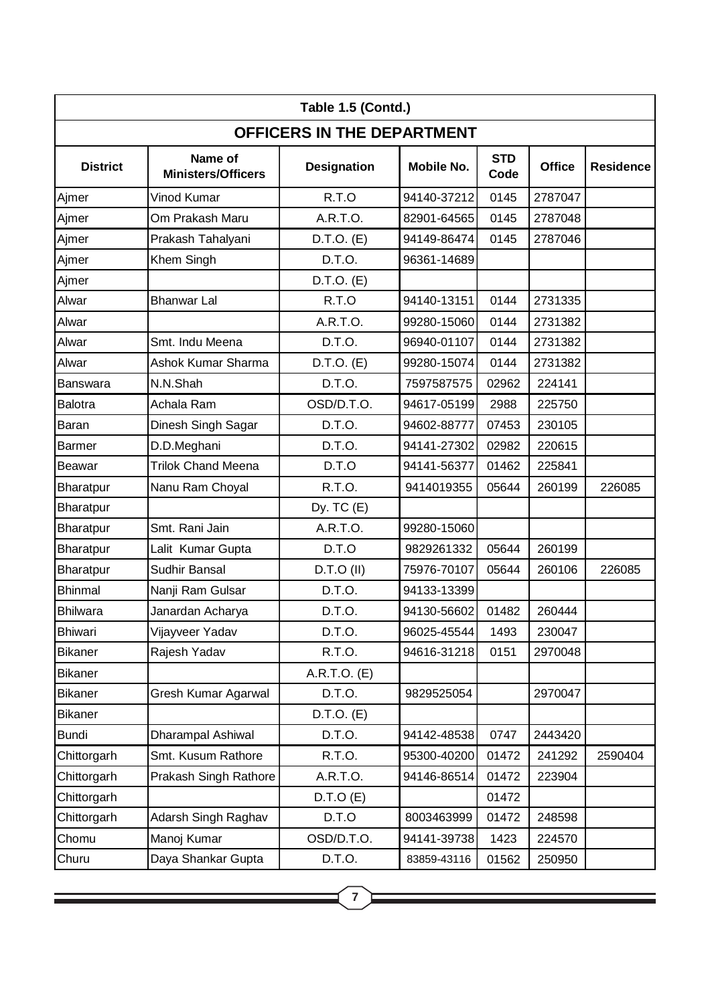| Table 1.5 (Contd.)                |                                      |                    |                   |                    |               |                  |
|-----------------------------------|--------------------------------------|--------------------|-------------------|--------------------|---------------|------------------|
| <b>OFFICERS IN THE DEPARTMENT</b> |                                      |                    |                   |                    |               |                  |
| <b>District</b>                   | Name of<br><b>Ministers/Officers</b> | <b>Designation</b> | <b>Mobile No.</b> | <b>STD</b><br>Code | <b>Office</b> | <b>Residence</b> |
| Ajmer                             | Vinod Kumar                          | R.T.O              | 94140-37212       | 0145               | 2787047       |                  |
| Ajmer                             | Om Prakash Maru                      | A.R.T.O.           | 82901-64565       | 0145               | 2787048       |                  |
| Ajmer                             | Prakash Tahalyani                    | $D.T.O.$ (E)       | 94149-86474       | 0145               | 2787046       |                  |
| Ajmer                             | Khem Singh                           | D.T.O.             | 96361-14689       |                    |               |                  |
| Ajmer                             |                                      | $D.T.O.$ (E)       |                   |                    |               |                  |
| Alwar                             | <b>Bhanwar Lal</b>                   | R.T.O              | 94140-13151       | 0144               | 2731335       |                  |
| Alwar                             |                                      | A.R.T.O.           | 99280-15060       | 0144               | 2731382       |                  |
| Alwar                             | Smt. Indu Meena                      | D.T.O.             | 96940-01107       | 0144               | 2731382       |                  |
| Alwar                             | <b>Ashok Kumar Sharma</b>            | D.T.O. (E)         | 99280-15074       | 0144               | 2731382       |                  |
| <b>Banswara</b>                   | N.N.Shah                             | D.T.O.             | 7597587575        | 02962              | 224141        |                  |
| <b>Balotra</b>                    | Achala Ram                           | OSD/D.T.O.         | 94617-05199       | 2988               | 225750        |                  |
| <b>Baran</b>                      | Dinesh Singh Sagar                   | D.T.O.             | 94602-88777       | 07453              | 230105        |                  |
| <b>Barmer</b>                     | D.D.Meghani                          | D.T.O.             | 94141-27302       | 02982              | 220615        |                  |
| <b>Beawar</b>                     | <b>Trilok Chand Meena</b>            | D.T.O              | 94141-56377       | 01462              | 225841        |                  |
| <b>Bharatpur</b>                  | Nanu Ram Choyal                      | R.T.O.             | 9414019355        | 05644              | 260199        | 226085           |
| <b>Bharatpur</b>                  |                                      | Dy. $TC(E)$        |                   |                    |               |                  |
| <b>Bharatpur</b>                  | Smt. Rani Jain                       | A.R.T.O.           | 99280-15060       |                    |               |                  |
| Bharatpur                         | Lalit Kumar Gupta                    | D.T.O              | 9829261332        | 05644              | 260199        |                  |
| Bharatpur                         | Sudhir Bansal                        | $D.T.O$ (II)       | 75976-70107       | 05644              | 260106        | 226085           |
| <b>Bhinmal</b>                    | Nanji Ram Gulsar                     | D.T.O.             | 94133-13399       |                    |               |                  |
| <b>Bhilwara</b>                   | Janardan Acharya                     | D.T.O.             | 94130-56602       | 01482              | 260444        |                  |
| <b>Bhiwari</b>                    | Vijayveer Yadav                      | D.T.O.             | 96025-45544       | 1493               | 230047        |                  |
| <b>Bikaner</b>                    | Rajesh Yadav                         | R.T.O.             | 94616-31218       | 0151               | 2970048       |                  |
| <b>Bikaner</b>                    |                                      | A.R.T.O. (E)       |                   |                    |               |                  |
| <b>Bikaner</b>                    | Gresh Kumar Agarwal                  | D.T.O.             | 9829525054        |                    | 2970047       |                  |
| <b>Bikaner</b>                    |                                      | $D.T.O.$ (E)       |                   |                    |               |                  |
| <b>Bundi</b>                      | Dharampal Ashiwal                    | D.T.O.             | 94142-48538       | 0747               | 2443420       |                  |
| Chittorgarh                       | Smt. Kusum Rathore                   | R.T.O.             | 95300-40200       | 01472              | 241292        | 2590404          |
| Chittorgarh                       | Prakash Singh Rathore                | A.R.T.O.           | 94146-86514       | 01472              | 223904        |                  |
| Chittorgarh                       |                                      | D.T.O(E)           |                   | 01472              |               |                  |
| Chittorgarh                       | Adarsh Singh Raghav                  | D.T.O              | 8003463999        | 01472              | 248598        |                  |
| Chomu                             | Manoj Kumar                          | OSD/D.T.O.         | 94141-39738       | 1423               | 224570        |                  |
| Churu                             | Daya Shankar Gupta                   | D.T.O.             | 83859-43116       | 01562              | 250950        |                  |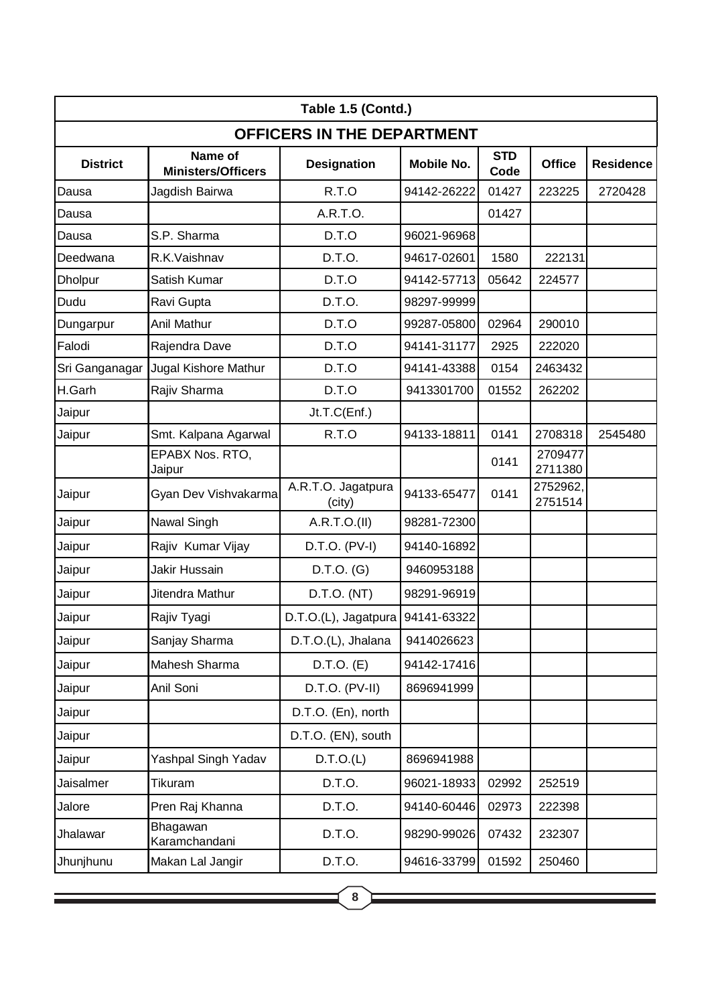| Table 1.5 (Contd.)                |                                      |                              |                   |                    |                     |                  |
|-----------------------------------|--------------------------------------|------------------------------|-------------------|--------------------|---------------------|------------------|
| <b>OFFICERS IN THE DEPARTMENT</b> |                                      |                              |                   |                    |                     |                  |
| <b>District</b>                   | Name of<br><b>Ministers/Officers</b> | <b>Designation</b>           | <b>Mobile No.</b> | <b>STD</b><br>Code | <b>Office</b>       | <b>Residence</b> |
| Dausa                             | Jagdish Bairwa                       | R.T.O                        | 94142-26222       | 01427              | 223225              | 2720428          |
| Dausa                             |                                      | A.R.T.O.                     |                   | 01427              |                     |                  |
| Dausa                             | S.P. Sharma                          | D.T.O                        | 96021-96968       |                    |                     |                  |
| Deedwana                          | R.K.Vaishnav                         | D.T.O.                       | 94617-02601       | 1580               | 222131              |                  |
| <b>Dholpur</b>                    | Satish Kumar                         | D.T.O                        | 94142-57713       | 05642              | 224577              |                  |
| Dudu                              | Ravi Gupta                           | D.T.O.                       | 98297-99999       |                    |                     |                  |
| Dungarpur                         | Anil Mathur                          | D.T.O                        | 99287-05800       | 02964              | 290010              |                  |
| Falodi                            | Rajendra Dave                        | D.T.O                        | 94141-31177       | 2925               | 222020              |                  |
| Sri Ganganagar                    | Jugal Kishore Mathur                 | D.T.O                        | 94141-43388       | 0154               | 2463432             |                  |
| H.Garh                            | Rajiv Sharma                         | D.T.O                        | 9413301700        | 01552              | 262202              |                  |
| Jaipur                            |                                      | Jt.T.C(Enf.)                 |                   |                    |                     |                  |
| Jaipur                            | Smt. Kalpana Agarwal                 | R.T.O                        | 94133-18811       | 0141               | 2708318             | 2545480          |
|                                   | EPABX Nos. RTO,<br>Jaipur            |                              |                   | 0141               | 2709477<br>2711380  |                  |
| Jaipur                            | Gyan Dev Vishvakarma                 | A.R.T.O. Jagatpura<br>(city) | 94133-65477       | 0141               | 2752962,<br>2751514 |                  |
| Jaipur                            | Nawal Singh                          | A.R.T.O.(II)                 | 98281-72300       |                    |                     |                  |
| Jaipur                            | Rajiv Kumar Vijay                    | D.T.O. (PV-I)                | 94140-16892       |                    |                     |                  |
| Jaipur                            | Jakir Hussain                        | $D.T.O.$ (G)                 | 9460953188        |                    |                     |                  |
| Jaipur                            | Jitendra Mathur                      | D.T.O. (NT)                  | 98291-96919       |                    |                     |                  |
| Jaipur                            | Rajiv Tyagi                          | D.T.O.(L), Jagatpura         | 94141-63322       |                    |                     |                  |
| Jaipur                            | Sanjay Sharma                        | D.T.O.(L), Jhalana           | 9414026623        |                    |                     |                  |
| Jaipur                            | Mahesh Sharma                        | $D.T.O.$ (E)                 | 94142-17416       |                    |                     |                  |
| Jaipur                            | Anil Soni                            | $D.T.O.$ (PV-II)             | 8696941999        |                    |                     |                  |
| Jaipur                            |                                      | D.T.O. (En), north           |                   |                    |                     |                  |
| Jaipur                            |                                      | D.T.O. (EN), south           |                   |                    |                     |                  |
| Jaipur                            | Yashpal Singh Yadav                  | D.T.O.(L)                    | 8696941988        |                    |                     |                  |
| Jaisalmer                         | Tikuram                              | D.T.O.                       | 96021-18933       | 02992              | 252519              |                  |
| Jalore                            | Pren Raj Khanna                      | D.T.O.                       | 94140-60446       | 02973              | 222398              |                  |
| Jhalawar                          | Bhagawan<br>Karamchandani            | D.T.O.                       | 98290-99026       | 07432              | 232307              |                  |
| Jhunjhunu                         | Makan Lal Jangir                     | D.T.O.                       | 94616-33799       | 01592              | 250460              |                  |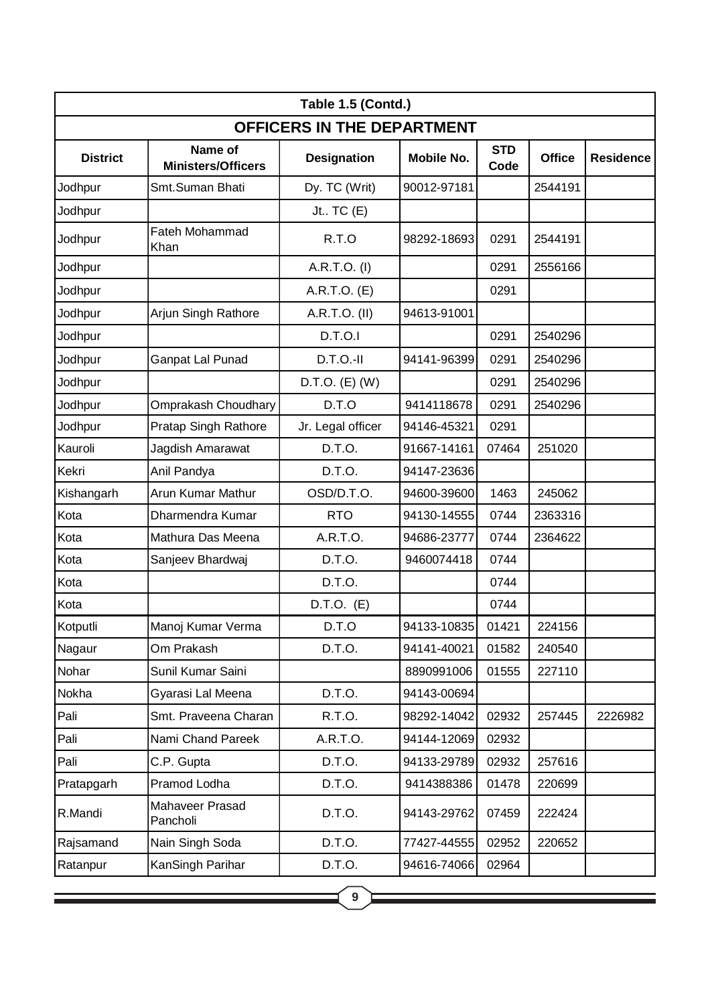| OFFICERS IN THE DEPARTMENT<br>Name of<br><b>STD</b><br><b>District</b><br><b>Office</b><br><b>Residence</b><br><b>Designation</b><br><b>Mobile No.</b><br><b>Ministers/Officers</b><br>Code<br>Dy. TC (Writ)<br>Jodhpur<br>90012-97181<br>2544191<br>Smt.Suman Bhati<br>Jodhpur<br>Jt $TC(E)$<br><b>Fateh Mohammad</b><br>R.T.O<br>Jodhpur<br>98292-18693<br>0291<br>2544191<br>Khan<br>Jodhpur<br>A.R.T.O. (I)<br>0291<br>2556166<br>Jodhpur<br>A.R.T.O. (E)<br>0291<br>Jodhpur<br>Arjun Singh Rathore<br>A.R.T.O. (II)<br>94613-91001<br>Jodhpur<br>D.T.O.I<br>0291<br>2540296<br>Jodhpur<br>$D.T.O.-II$<br>Ganpat Lal Punad<br>94141-96399<br>0291<br>2540296<br>D.T.O. (E) (W)<br>Jodhpur<br>0291<br>2540296<br>D.T.O<br>9414118678<br>Jodhpur<br>Omprakash Choudhary<br>0291<br>2540296<br>0291<br>Jodhpur<br>Pratap Singh Rathore<br>Jr. Legal officer<br>94146-45321<br>Kauroli<br>D.T.O.<br>Jagdish Amarawat<br>91667-14161<br>07464<br>251020<br>Kekri<br>Anil Pandya<br>D.T.O.<br>94147-23636<br>Kishangarh<br>Arun Kumar Mathur<br>OSD/D.T.O.<br>94600-39600<br>1463<br>245062<br>Kota<br>94130-14555<br><b>RTO</b><br>2363316<br>Dharmendra Kumar<br>0744<br>A.R.T.O.<br>Kota<br>Mathura Das Meena<br>94686-23777<br>0744<br>2364622<br>Kota<br>D.T.O.<br>9460074418<br>0744<br>Sanjeev Bhardwaj<br>Kota<br>D.T.O.<br>0744<br>Kota<br>$D.T.O.$ (E)<br>0744<br>Kotputli<br>Manoj Kumar Verma<br>D.T.O<br>94133-10835<br>01421<br>224156<br>D.T.O.<br>01582<br>240540<br>Nagaur<br>Om Prakash<br>94141-40021<br>Nohar<br>Sunil Kumar Saini<br>8890991006<br>01555<br>227110<br>D.T.O.<br>94143-00694<br>Nokha<br>Gyarasi Lal Meena<br>Pali<br>98292-14042<br>Smt. Praveena Charan<br>R.T.O.<br>02932<br>257445<br>2226982<br>Pali<br>Nami Chand Pareek<br>A.R.T.O.<br>94144-12069<br>02932<br>Pali<br>C.P. Gupta<br>D.T.O.<br>02932<br>257616<br>94133-29789<br>Pramod Lodha<br>D.T.O.<br>Pratapgarh<br>9414388386<br>01478<br>220699<br>Mahaveer Prasad<br>D.T.O.<br>R.Mandi<br>94143-29762<br>07459<br>222424<br>Pancholi<br>D.T.O.<br>02952<br>Rajsamand<br>Nain Singh Soda<br>77427-44555<br>220652<br>KanSingh Parihar<br>D.T.O.<br>02964<br>Ratanpur<br>94616-74066<br>9 | Table 1.5 (Contd.) |  |  |  |  |  |  |
|------------------------------------------------------------------------------------------------------------------------------------------------------------------------------------------------------------------------------------------------------------------------------------------------------------------------------------------------------------------------------------------------------------------------------------------------------------------------------------------------------------------------------------------------------------------------------------------------------------------------------------------------------------------------------------------------------------------------------------------------------------------------------------------------------------------------------------------------------------------------------------------------------------------------------------------------------------------------------------------------------------------------------------------------------------------------------------------------------------------------------------------------------------------------------------------------------------------------------------------------------------------------------------------------------------------------------------------------------------------------------------------------------------------------------------------------------------------------------------------------------------------------------------------------------------------------------------------------------------------------------------------------------------------------------------------------------------------------------------------------------------------------------------------------------------------------------------------------------------------------------------------------------------------------------------------------------------------------------------------------------------------------------------------------------------------------------------------------------------------------------------------------------------------------------------------|--------------------|--|--|--|--|--|--|
|                                                                                                                                                                                                                                                                                                                                                                                                                                                                                                                                                                                                                                                                                                                                                                                                                                                                                                                                                                                                                                                                                                                                                                                                                                                                                                                                                                                                                                                                                                                                                                                                                                                                                                                                                                                                                                                                                                                                                                                                                                                                                                                                                                                          |                    |  |  |  |  |  |  |
|                                                                                                                                                                                                                                                                                                                                                                                                                                                                                                                                                                                                                                                                                                                                                                                                                                                                                                                                                                                                                                                                                                                                                                                                                                                                                                                                                                                                                                                                                                                                                                                                                                                                                                                                                                                                                                                                                                                                                                                                                                                                                                                                                                                          |                    |  |  |  |  |  |  |
|                                                                                                                                                                                                                                                                                                                                                                                                                                                                                                                                                                                                                                                                                                                                                                                                                                                                                                                                                                                                                                                                                                                                                                                                                                                                                                                                                                                                                                                                                                                                                                                                                                                                                                                                                                                                                                                                                                                                                                                                                                                                                                                                                                                          |                    |  |  |  |  |  |  |
|                                                                                                                                                                                                                                                                                                                                                                                                                                                                                                                                                                                                                                                                                                                                                                                                                                                                                                                                                                                                                                                                                                                                                                                                                                                                                                                                                                                                                                                                                                                                                                                                                                                                                                                                                                                                                                                                                                                                                                                                                                                                                                                                                                                          |                    |  |  |  |  |  |  |
|                                                                                                                                                                                                                                                                                                                                                                                                                                                                                                                                                                                                                                                                                                                                                                                                                                                                                                                                                                                                                                                                                                                                                                                                                                                                                                                                                                                                                                                                                                                                                                                                                                                                                                                                                                                                                                                                                                                                                                                                                                                                                                                                                                                          |                    |  |  |  |  |  |  |
|                                                                                                                                                                                                                                                                                                                                                                                                                                                                                                                                                                                                                                                                                                                                                                                                                                                                                                                                                                                                                                                                                                                                                                                                                                                                                                                                                                                                                                                                                                                                                                                                                                                                                                                                                                                                                                                                                                                                                                                                                                                                                                                                                                                          |                    |  |  |  |  |  |  |
|                                                                                                                                                                                                                                                                                                                                                                                                                                                                                                                                                                                                                                                                                                                                                                                                                                                                                                                                                                                                                                                                                                                                                                                                                                                                                                                                                                                                                                                                                                                                                                                                                                                                                                                                                                                                                                                                                                                                                                                                                                                                                                                                                                                          |                    |  |  |  |  |  |  |
|                                                                                                                                                                                                                                                                                                                                                                                                                                                                                                                                                                                                                                                                                                                                                                                                                                                                                                                                                                                                                                                                                                                                                                                                                                                                                                                                                                                                                                                                                                                                                                                                                                                                                                                                                                                                                                                                                                                                                                                                                                                                                                                                                                                          |                    |  |  |  |  |  |  |
|                                                                                                                                                                                                                                                                                                                                                                                                                                                                                                                                                                                                                                                                                                                                                                                                                                                                                                                                                                                                                                                                                                                                                                                                                                                                                                                                                                                                                                                                                                                                                                                                                                                                                                                                                                                                                                                                                                                                                                                                                                                                                                                                                                                          |                    |  |  |  |  |  |  |
|                                                                                                                                                                                                                                                                                                                                                                                                                                                                                                                                                                                                                                                                                                                                                                                                                                                                                                                                                                                                                                                                                                                                                                                                                                                                                                                                                                                                                                                                                                                                                                                                                                                                                                                                                                                                                                                                                                                                                                                                                                                                                                                                                                                          |                    |  |  |  |  |  |  |
|                                                                                                                                                                                                                                                                                                                                                                                                                                                                                                                                                                                                                                                                                                                                                                                                                                                                                                                                                                                                                                                                                                                                                                                                                                                                                                                                                                                                                                                                                                                                                                                                                                                                                                                                                                                                                                                                                                                                                                                                                                                                                                                                                                                          |                    |  |  |  |  |  |  |
|                                                                                                                                                                                                                                                                                                                                                                                                                                                                                                                                                                                                                                                                                                                                                                                                                                                                                                                                                                                                                                                                                                                                                                                                                                                                                                                                                                                                                                                                                                                                                                                                                                                                                                                                                                                                                                                                                                                                                                                                                                                                                                                                                                                          |                    |  |  |  |  |  |  |
|                                                                                                                                                                                                                                                                                                                                                                                                                                                                                                                                                                                                                                                                                                                                                                                                                                                                                                                                                                                                                                                                                                                                                                                                                                                                                                                                                                                                                                                                                                                                                                                                                                                                                                                                                                                                                                                                                                                                                                                                                                                                                                                                                                                          |                    |  |  |  |  |  |  |
|                                                                                                                                                                                                                                                                                                                                                                                                                                                                                                                                                                                                                                                                                                                                                                                                                                                                                                                                                                                                                                                                                                                                                                                                                                                                                                                                                                                                                                                                                                                                                                                                                                                                                                                                                                                                                                                                                                                                                                                                                                                                                                                                                                                          |                    |  |  |  |  |  |  |
|                                                                                                                                                                                                                                                                                                                                                                                                                                                                                                                                                                                                                                                                                                                                                                                                                                                                                                                                                                                                                                                                                                                                                                                                                                                                                                                                                                                                                                                                                                                                                                                                                                                                                                                                                                                                                                                                                                                                                                                                                                                                                                                                                                                          |                    |  |  |  |  |  |  |
|                                                                                                                                                                                                                                                                                                                                                                                                                                                                                                                                                                                                                                                                                                                                                                                                                                                                                                                                                                                                                                                                                                                                                                                                                                                                                                                                                                                                                                                                                                                                                                                                                                                                                                                                                                                                                                                                                                                                                                                                                                                                                                                                                                                          |                    |  |  |  |  |  |  |
|                                                                                                                                                                                                                                                                                                                                                                                                                                                                                                                                                                                                                                                                                                                                                                                                                                                                                                                                                                                                                                                                                                                                                                                                                                                                                                                                                                                                                                                                                                                                                                                                                                                                                                                                                                                                                                                                                                                                                                                                                                                                                                                                                                                          |                    |  |  |  |  |  |  |
|                                                                                                                                                                                                                                                                                                                                                                                                                                                                                                                                                                                                                                                                                                                                                                                                                                                                                                                                                                                                                                                                                                                                                                                                                                                                                                                                                                                                                                                                                                                                                                                                                                                                                                                                                                                                                                                                                                                                                                                                                                                                                                                                                                                          |                    |  |  |  |  |  |  |
|                                                                                                                                                                                                                                                                                                                                                                                                                                                                                                                                                                                                                                                                                                                                                                                                                                                                                                                                                                                                                                                                                                                                                                                                                                                                                                                                                                                                                                                                                                                                                                                                                                                                                                                                                                                                                                                                                                                                                                                                                                                                                                                                                                                          |                    |  |  |  |  |  |  |
|                                                                                                                                                                                                                                                                                                                                                                                                                                                                                                                                                                                                                                                                                                                                                                                                                                                                                                                                                                                                                                                                                                                                                                                                                                                                                                                                                                                                                                                                                                                                                                                                                                                                                                                                                                                                                                                                                                                                                                                                                                                                                                                                                                                          |                    |  |  |  |  |  |  |
|                                                                                                                                                                                                                                                                                                                                                                                                                                                                                                                                                                                                                                                                                                                                                                                                                                                                                                                                                                                                                                                                                                                                                                                                                                                                                                                                                                                                                                                                                                                                                                                                                                                                                                                                                                                                                                                                                                                                                                                                                                                                                                                                                                                          |                    |  |  |  |  |  |  |
|                                                                                                                                                                                                                                                                                                                                                                                                                                                                                                                                                                                                                                                                                                                                                                                                                                                                                                                                                                                                                                                                                                                                                                                                                                                                                                                                                                                                                                                                                                                                                                                                                                                                                                                                                                                                                                                                                                                                                                                                                                                                                                                                                                                          |                    |  |  |  |  |  |  |
|                                                                                                                                                                                                                                                                                                                                                                                                                                                                                                                                                                                                                                                                                                                                                                                                                                                                                                                                                                                                                                                                                                                                                                                                                                                                                                                                                                                                                                                                                                                                                                                                                                                                                                                                                                                                                                                                                                                                                                                                                                                                                                                                                                                          |                    |  |  |  |  |  |  |
|                                                                                                                                                                                                                                                                                                                                                                                                                                                                                                                                                                                                                                                                                                                                                                                                                                                                                                                                                                                                                                                                                                                                                                                                                                                                                                                                                                                                                                                                                                                                                                                                                                                                                                                                                                                                                                                                                                                                                                                                                                                                                                                                                                                          |                    |  |  |  |  |  |  |
|                                                                                                                                                                                                                                                                                                                                                                                                                                                                                                                                                                                                                                                                                                                                                                                                                                                                                                                                                                                                                                                                                                                                                                                                                                                                                                                                                                                                                                                                                                                                                                                                                                                                                                                                                                                                                                                                                                                                                                                                                                                                                                                                                                                          |                    |  |  |  |  |  |  |
|                                                                                                                                                                                                                                                                                                                                                                                                                                                                                                                                                                                                                                                                                                                                                                                                                                                                                                                                                                                                                                                                                                                                                                                                                                                                                                                                                                                                                                                                                                                                                                                                                                                                                                                                                                                                                                                                                                                                                                                                                                                                                                                                                                                          |                    |  |  |  |  |  |  |
|                                                                                                                                                                                                                                                                                                                                                                                                                                                                                                                                                                                                                                                                                                                                                                                                                                                                                                                                                                                                                                                                                                                                                                                                                                                                                                                                                                                                                                                                                                                                                                                                                                                                                                                                                                                                                                                                                                                                                                                                                                                                                                                                                                                          |                    |  |  |  |  |  |  |
|                                                                                                                                                                                                                                                                                                                                                                                                                                                                                                                                                                                                                                                                                                                                                                                                                                                                                                                                                                                                                                                                                                                                                                                                                                                                                                                                                                                                                                                                                                                                                                                                                                                                                                                                                                                                                                                                                                                                                                                                                                                                                                                                                                                          |                    |  |  |  |  |  |  |
|                                                                                                                                                                                                                                                                                                                                                                                                                                                                                                                                                                                                                                                                                                                                                                                                                                                                                                                                                                                                                                                                                                                                                                                                                                                                                                                                                                                                                                                                                                                                                                                                                                                                                                                                                                                                                                                                                                                                                                                                                                                                                                                                                                                          |                    |  |  |  |  |  |  |
|                                                                                                                                                                                                                                                                                                                                                                                                                                                                                                                                                                                                                                                                                                                                                                                                                                                                                                                                                                                                                                                                                                                                                                                                                                                                                                                                                                                                                                                                                                                                                                                                                                                                                                                                                                                                                                                                                                                                                                                                                                                                                                                                                                                          |                    |  |  |  |  |  |  |
|                                                                                                                                                                                                                                                                                                                                                                                                                                                                                                                                                                                                                                                                                                                                                                                                                                                                                                                                                                                                                                                                                                                                                                                                                                                                                                                                                                                                                                                                                                                                                                                                                                                                                                                                                                                                                                                                                                                                                                                                                                                                                                                                                                                          |                    |  |  |  |  |  |  |
|                                                                                                                                                                                                                                                                                                                                                                                                                                                                                                                                                                                                                                                                                                                                                                                                                                                                                                                                                                                                                                                                                                                                                                                                                                                                                                                                                                                                                                                                                                                                                                                                                                                                                                                                                                                                                                                                                                                                                                                                                                                                                                                                                                                          |                    |  |  |  |  |  |  |
|                                                                                                                                                                                                                                                                                                                                                                                                                                                                                                                                                                                                                                                                                                                                                                                                                                                                                                                                                                                                                                                                                                                                                                                                                                                                                                                                                                                                                                                                                                                                                                                                                                                                                                                                                                                                                                                                                                                                                                                                                                                                                                                                                                                          |                    |  |  |  |  |  |  |